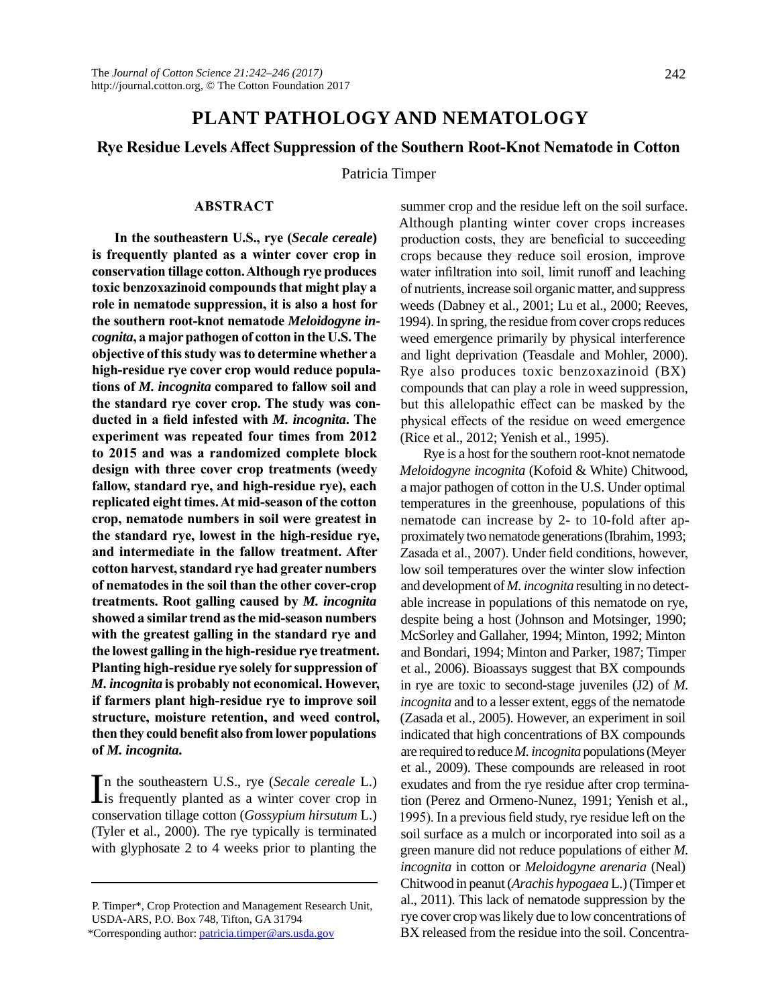# **PLANT PATHOLOGY AND NEMATOLOGY**

## **Rye Residue Levels Affect Suppression of the Southern Root-Knot Nematode in Cotton**

Patricia Timper

## **ABSTRACT**

**In the southeastern U.S., rye (***Secale cereale***) is frequently planted as a winter cover crop in conservation tillage cotton. Although rye produces toxic benzoxazinoid compounds that might play a role in nematode suppression, it is also a host for the southern root-knot nematode** *Meloidogyne incognita***, a major pathogen of cotton in the U.S. The objective of this study was to determine whether a high-residue rye cover crop would reduce populations of** *M. incognita* **compared to fallow soil and the standard rye cover crop. The study was conducted in a field infested with** *M. incognita***. The experiment was repeated four times from 2012 to 2015 and was a randomized complete block design with three cover crop treatments (weedy fallow, standard rye, and high-residue rye), each replicated eight times. At mid-season of the cotton crop, nematode numbers in soil were greatest in the standard rye, lowest in the high-residue rye, and intermediate in the fallow treatment. After cotton harvest, standard rye had greater numbers of nematodes in the soil than the other cover-crop treatments. Root galling caused by** *M. incognita* **showed a similar trend as the mid-season numbers with the greatest galling in the standard rye and the lowest galling in the high-residue rye treatment. Planting high-residue rye solely for suppression of**  *M. incognita* **is probably not economical. However, if farmers plant high-residue rye to improve soil structure, moisture retention, and weed control, then they could benefit also from lower populations of** *M. incognita***.**

In the southeastern U.S., rye (*Secale cereale* L.)<br>is frequently planted as a winter cover crop in is frequently planted as a winter cover crop in conservation tillage cotton (*Gossypium hirsutum* L.) (Tyler et al., 2000). The rye typically is terminated with glyphosate 2 to 4 weeks prior to planting the

summer crop and the residue left on the soil surface. Although planting winter cover crops increases production costs, they are beneficial to succeeding crops because they reduce soil erosion, improve water infiltration into soil, limit runoff and leaching of nutrients, increase soil organic matter, and suppress weeds (Dabney et al., 2001; Lu et al., 2000; Reeves, 1994). In spring, the residue from cover crops reduces weed emergence primarily by physical interference and light deprivation (Teasdale and Mohler, 2000). Rye also produces toxic benzoxazinoid (BX) compounds that can play a role in weed suppression, but this allelopathic effect can be masked by the physical effects of the residue on weed emergence (Rice et al., 2012; Yenish et al., 1995).

Rye is a host for the southern root-knot nematode *Meloidogyne incognita* (Kofoid & White) Chitwood, a major pathogen of cotton in the U.S. Under optimal temperatures in the greenhouse, populations of this nematode can increase by 2- to 10-fold after approximately two nematode generations (Ibrahim, 1993; Zasada et al., 2007). Under field conditions, however, low soil temperatures over the winter slow infection and development of *M. incognita* resulting in no detectable increase in populations of this nematode on rye, despite being a host (Johnson and Motsinger, 1990; McSorley and Gallaher, 1994; Minton, 1992; Minton and Bondari, 1994; Minton and Parker, 1987; Timper et al., 2006). Bioassays suggest that BX compounds in rye are toxic to second-stage juveniles (J2) of *M. incognita* and to a lesser extent, eggs of the nematode (Zasada et al., 2005). However, an experiment in soil indicated that high concentrations of BX compounds are required to reduce *M. incognita* populations (Meyer et al., 2009). These compounds are released in root exudates and from the rye residue after crop termination (Perez and Ormeno-Nunez, 1991; Yenish et al., 1995). In a previous field study, rye residue left on the soil surface as a mulch or incorporated into soil as a green manure did not reduce populations of either *M. incognita* in cotton or *Meloidogyne arenaria* (Neal) Chitwood in peanut (*Arachis hypogaea* L.) (Timper et al., 2011). This lack of nematode suppression by the rye cover crop was likely due to low concentrations of BX released from the residue into the soil. Concentra-

P. Timper\*, Crop Protection and Management Research Unit, USDA-ARS, P.O. Box 748, Tifton, GA 31794

<sup>\*</sup>Corresponding author: [patricia.timper@ars.usda.gov](mailto:patricia.timper@ars.usda.gov)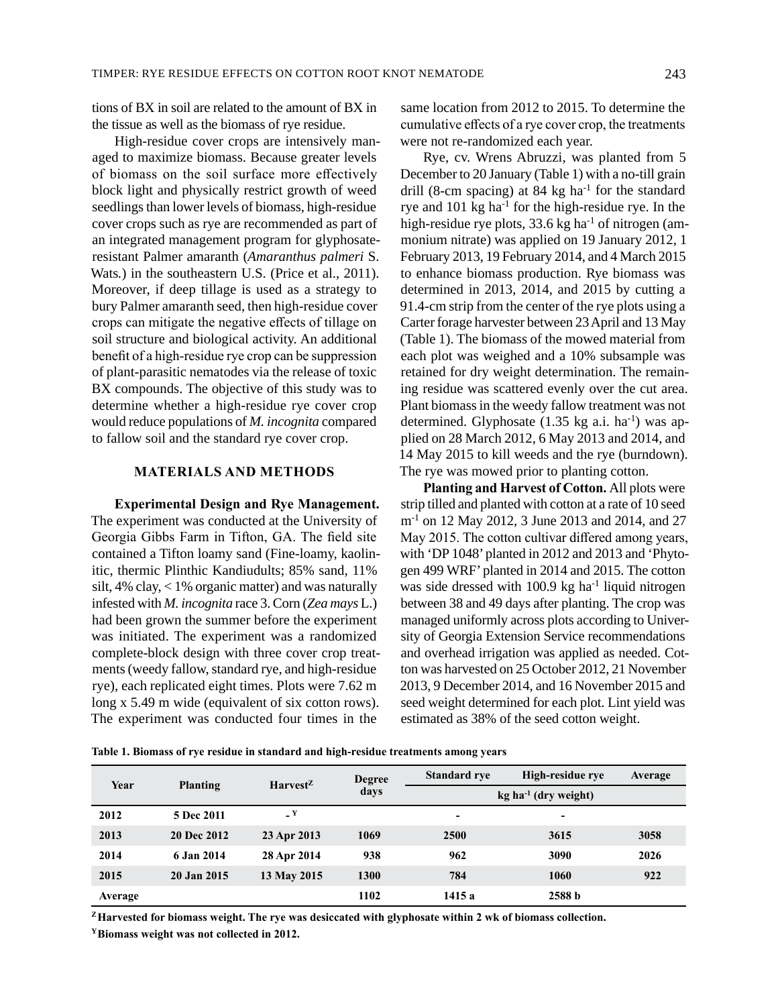tions of BX in soil are related to the amount of BX in the tissue as well as the biomass of rye residue.

High-residue cover crops are intensively managed to maximize biomass. Because greater levels of biomass on the soil surface more effectively block light and physically restrict growth of weed seedlings than lower levels of biomass, high-residue cover crops such as rye are recommended as part of an integrated management program for glyphosateresistant Palmer amaranth (*Amaranthus palmeri* S. Wats*.*) in the southeastern U.S. (Price et al., 2011). Moreover, if deep tillage is used as a strategy to bury Palmer amaranth seed, then high-residue cover crops can mitigate the negative effects of tillage on soil structure and biological activity. An additional benefit of a high-residue rye crop can be suppression of plant-parasitic nematodes via the release of toxic BX compounds. The objective of this study was to determine whether a high-residue rye cover crop would reduce populations of *M. incognita* compared to fallow soil and the standard rye cover crop.

### **MATERIALS AND METHODS**

**Experimental Design and Rye Management.**  The experiment was conducted at the University of Georgia Gibbs Farm in Tifton, GA. The field site contained a Tifton loamy sand (Fine-loamy, kaolinitic, thermic Plinthic Kandiudults; 85% sand, 11% silt, 4% clay, < 1% organic matter) and was naturally infested with *M. incognita* race 3. Corn (*Zea mays* L.) had been grown the summer before the experiment was initiated. The experiment was a randomized complete-block design with three cover crop treatments (weedy fallow, standard rye, and high-residue rye), each replicated eight times. Plots were 7.62 m long x 5.49 m wide (equivalent of six cotton rows). The experiment was conducted four times in the

**Table 1. Biomass of rye residue in standard and high-residue treatments among years**

same location from 2012 to 2015. To determine the cumulative effects of a rye cover crop, the treatments were not re-randomized each year.

Rye, cv. Wrens Abruzzi, was planted from 5 December to 20 January (Table 1) with a no-till grain drill (8-cm spacing) at 84 kg ha<sup>-1</sup> for the standard rye and 101 kg ha<sup>-1</sup> for the high-residue rye. In the high-residue rye plots, 33.6 kg ha<sup>-1</sup> of nitrogen (ammonium nitrate) was applied on 19 January 2012, 1 February 2013, 19 February 2014, and 4 March 2015 to enhance biomass production. Rye biomass was determined in 2013, 2014, and 2015 by cutting a 91.4-cm strip from the center of the rye plots using a Carter forage harvester between 23 April and 13 May (Table 1). The biomass of the mowed material from each plot was weighed and a 10% subsample was retained for dry weight determination. The remaining residue was scattered evenly over the cut area. Plant biomass in the weedy fallow treatment was not determined. Glyphosate  $(1.35 \text{ kg a.i.} \text{ha}^{-1})$  was applied on 28 March 2012, 6 May 2013 and 2014, and 14 May 2015 to kill weeds and the rye (burndown). The rye was mowed prior to planting cotton.

**Planting and Harvest of Cotton.** All plots were strip tilled and planted with cotton at a rate of 10 seed m-1 on 12 May 2012, 3 June 2013 and 2014, and 27 May 2015. The cotton cultivar differed among years, with 'DP 1048' planted in 2012 and 2013 and 'Phytogen 499 WRF' planted in 2014 and 2015. The cotton was side dressed with  $100.9$  kg ha<sup>-1</sup> liquid nitrogen between 38 and 49 days after planting. The crop was managed uniformly across plots according to University of Georgia Extension Service recommendations and overhead irrigation was applied as needed. Cotton was harvested on 25 October 2012, 21 November 2013, 9 December 2014, and 16 November 2015 and seed weight determined for each plot. Lint yield was estimated as 38% of the seed cotton weight.

|  | Table 1. Divinass of type residue in standard and ingu-residue treatments among years |  |
|--|---------------------------------------------------------------------------------------|--|
|  |                                                                                       |  |
|  |                                                                                       |  |

| Year    | <b>Planting</b> | $Harvest^Z$  | <b>Degree</b><br>days | <b>Standard rve</b>                | High-residue rye  | <b>Average</b> |
|---------|-----------------|--------------|-----------------------|------------------------------------|-------------------|----------------|
|         |                 |              |                       | $kg$ ha <sup>-1</sup> (dry weight) |                   |                |
| 2012    | 5 Dec 2011      | $\mathbf{Y}$ |                       | $\overline{\phantom{0}}$           | -                 |                |
| 2013    | 20 Dec 2012     | 23 Apr 2013  | 1069                  | 2500                               | 3615              | 3058           |
| 2014    | 6 Jan 2014      | 28 Apr 2014  | 938                   | 962                                | 3090              | 2026           |
| 2015    | 20 Jan 2015     | 13 May 2015  | 1300                  | 784                                | 1060              | 922            |
| Average |                 |              | 1102                  | 1415 a                             | 2588 <sub>b</sub> |                |

**<sup>Z</sup>Harvested for biomass weight. The rye was desiccated with glyphosate within 2 wk of biomass collection.**

**YBiomass weight was not collected in 2012.**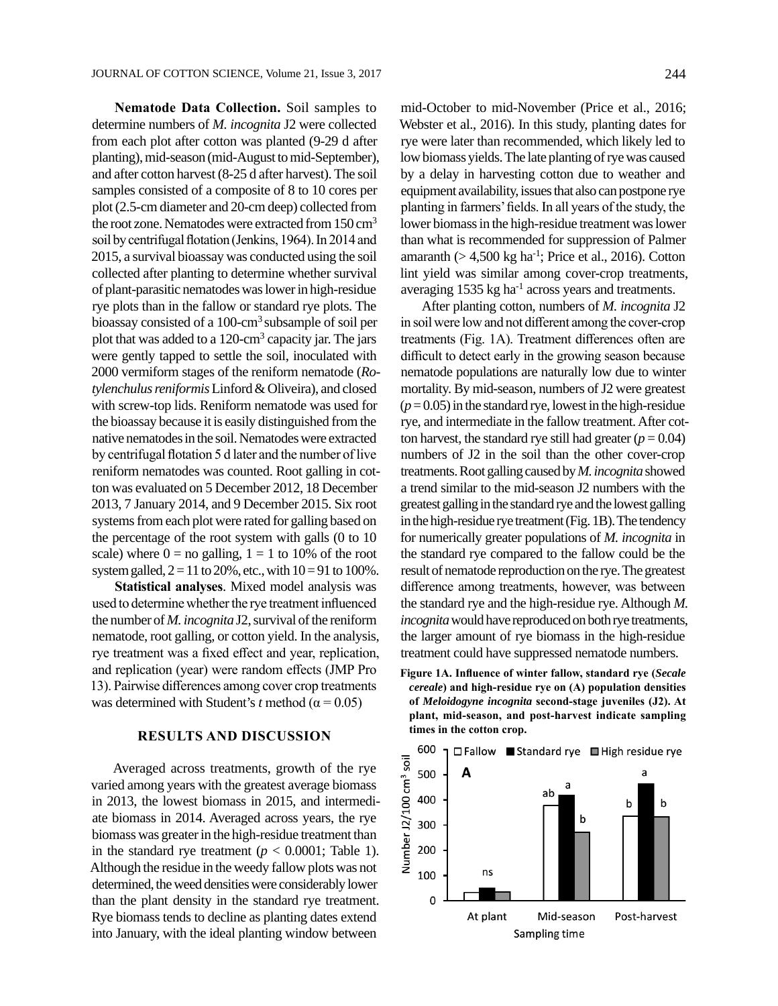**Nematode Data Collection.** Soil samples to determine numbers of *M. incognita* J2 were collected from each plot after cotton was planted (9-29 d after planting), mid-season (mid-August to mid-September), and after cotton harvest (8-25 d after harvest). The soil samples consisted of a composite of 8 to 10 cores per plot (2.5-cm diameter and 20-cm deep) collected from the root zone. Nematodes were extracted from 150 cm<sup>3</sup> soil by centrifugal flotation (Jenkins, 1964). In 2014 and 2015, a survival bioassay was conducted using the soil collected after planting to determine whether survival of plant-parasitic nematodes was lower in high-residue rye plots than in the fallow or standard rye plots. The bioassay consisted of a  $100$ -cm<sup>3</sup> subsample of soil per plot that was added to a 120-cm<sup>3</sup> capacity jar. The jars were gently tapped to settle the soil, inoculated with 2000 vermiform stages of the reniform nematode (*Rotylenchulus reniformis* Linford & Oliveira), and closed with screw-top lids. Reniform nematode was used for the bioassay because it is easily distinguished from the native nematodes in the soil. Nematodes were extracted by centrifugal flotation 5 d later and the number of live reniform nematodes was counted. Root galling in cotton was evaluated on 5 December 2012, 18 December 2013, 7 January 2014, and 9 December 2015. Six root systems from each plot were rated for galling based on the percentage of the root system with galls (0 to 10 scale) where  $0 =$  no galling,  $1 = 1$  to 10% of the root system galled,  $2 = 11$  to 20%, etc., with  $10 = 91$  to 100%.

**Statistical analyses**. Mixed model analysis was used to determine whether the rye treatment influenced the number of *M. incognita* J2, survival of the reniform nematode, root galling, or cotton yield. In the analysis, rye treatment was a fixed effect and year, replication, and replication (year) were random effects (JMP Pro 13). Pairwise differences among cover crop treatments was determined with Student's *t* method ( $\alpha$  = 0.05)

#### **RESULTS AND DISCUSSION**

Averaged across treatments, growth of the rye varied among years with the greatest average biomass in 2013, the lowest biomass in 2015, and intermediate biomass in 2014. Averaged across years, the rye biomass was greater in the high-residue treatment than in the standard rye treatment ( $p < 0.0001$ ; Table 1). Although the residue in the weedy fallow plots was not determined, the weed densities were considerably lower than the plant density in the standard rye treatment. Rye biomass tends to decline as planting dates extend into January, with the ideal planting window between

mid-October to mid-November (Price et al., 2016; Webster et al., 2016). In this study, planting dates for rye were later than recommended, which likely led to low biomass yields. The late planting of rye was caused by a delay in harvesting cotton due to weather and equipment availability, issues that also can postpone rye planting in farmers' fields. In all years of the study, the lower biomass in the high-residue treatment was lower than what is recommended for suppression of Palmer amaranth ( $> 4,500$  kg ha<sup>-1</sup>; Price et al., 2016). Cotton lint yield was similar among cover-crop treatments, averaging  $1535$  kg ha<sup>-1</sup> across years and treatments.

After planting cotton, numbers of *M. incognita* J2 in soil were low and not different among the cover-crop treatments (Fig. 1A). Treatment differences often are difficult to detect early in the growing season because nematode populations are naturally low due to winter mortality. By mid-season, numbers of J2 were greatest  $(p=0.05)$  in the standard rye, lowest in the high-residue rye, and intermediate in the fallow treatment. After cotton harvest, the standard rye still had greater  $(p = 0.04)$ numbers of J2 in the soil than the other cover-crop treatments. Root galling caused by *M. incognita* showed a trend similar to the mid-season J2 numbers with the greatest galling in the standard rye and the lowest galling in the high-residue rye treatment (Fig. 1B). The tendency for numerically greater populations of *M. incognita* in the standard rye compared to the fallow could be the result of nematode reproduction on the rye. The greatest difference among treatments, however, was between the standard rye and the high-residue rye. Although *M. incognita* would have reproduced on both rye treatments, the larger amount of rye biomass in the high-residue treatment could have suppressed nematode numbers.

**Figure 1A. Influence of winter fallow, standard rye (***Secale cereale***) and high-residue rye on (A) population densities of** *Meloidogyne incognita* **second-stage juveniles (J2). At plant, mid-season, and post-harvest indicate sampling times in the cotton crop.**

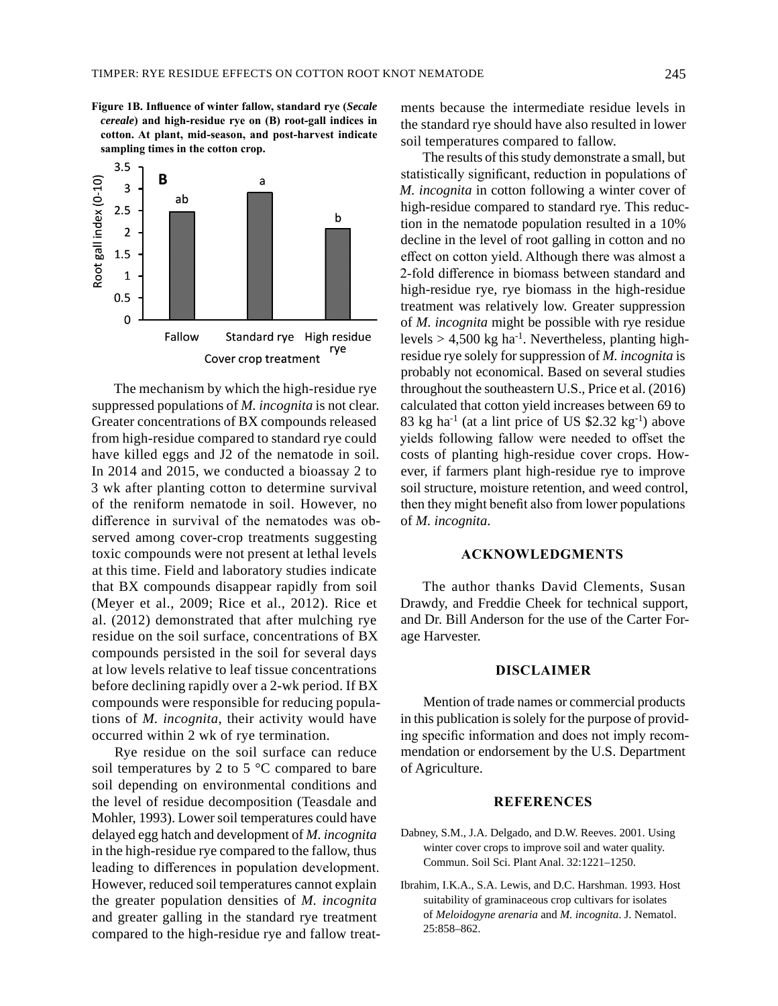**Figure 1B. Influence of winter fallow, standard rye (***Secale cereale***) and high-residue rye on (B) root-gall indices in cotton. At plant, mid-season, and post-harvest indicate sampling times in the cotton crop.**



The mechanism by which the high-residue rye suppressed populations of *M. incognita* is not clear. Greater concentrations of BX compounds released from high-residue compared to standard rye could have killed eggs and J2 of the nematode in soil. In 2014 and 2015, we conducted a bioassay 2 to 3 wk after planting cotton to determine survival of the reniform nematode in soil. However, no difference in survival of the nematodes was observed among cover-crop treatments suggesting toxic compounds were not present at lethal levels at this time. Field and laboratory studies indicate that BX compounds disappear rapidly from soil (Meyer et al., 2009; Rice et al., 2012). Rice et al. (2012) demonstrated that after mulching rye residue on the soil surface, concentrations of BX compounds persisted in the soil for several days at low levels relative to leaf tissue concentrations before declining rapidly over a 2-wk period. If BX compounds were responsible for reducing populations of *M. incognita*, their activity would have occurred within 2 wk of rye termination.

Rye residue on the soil surface can reduce soil temperatures by 2 to 5 °C compared to bare soil depending on environmental conditions and the level of residue decomposition (Teasdale and Mohler, 1993). Lower soil temperatures could have delayed egg hatch and development of *M. incognita* in the high-residue rye compared to the fallow, thus leading to differences in population development. However, reduced soil temperatures cannot explain the greater population densities of *M. incognita* and greater galling in the standard rye treatment compared to the high-residue rye and fallow treatments because the intermediate residue levels in the standard rye should have also resulted in lower soil temperatures compared to fallow.

The results of this study demonstrate a small, but statistically significant, reduction in populations of *M. incognita* in cotton following a winter cover of high-residue compared to standard rye. This reduction in the nematode population resulted in a 10% decline in the level of root galling in cotton and no effect on cotton yield. Although there was almost a 2-fold difference in biomass between standard and high-residue rye, rye biomass in the high-residue treatment was relatively low. Greater suppression of *M. incognita* might be possible with rye residue levels  $> 4,500$  kg ha<sup>-1</sup>. Nevertheless, planting highresidue rye solely for suppression of *M. incognita* is probably not economical. Based on several studies throughout the southeastern U.S., Price et al. (2016) calculated that cotton yield increases between 69 to 83 kg ha<sup>-1</sup> (at a lint price of US \$2.32 kg<sup>-1</sup>) above yields following fallow were needed to offset the costs of planting high-residue cover crops. However, if farmers plant high-residue rye to improve soil structure, moisture retention, and weed control, then they might benefit also from lower populations of *M. incognita*.

#### **ACKNOWLEDGMENTS**

The author thanks David Clements, Susan Drawdy, and Freddie Cheek for technical support, and Dr. Bill Anderson for the use of the Carter Forage Harvester.

#### **DISCLAIMER**

Mention of trade names or commercial products in this publication is solely for the purpose of providing specific information and does not imply recommendation or endorsement by the U.S. Department of Agriculture.

#### **REFERENCES**

- Dabney, S.M., J.A. Delgado, and D.W. Reeves. 2001. Using winter cover crops to improve soil and water quality. Commun. Soil Sci. Plant Anal. 32:1221–1250.
- Ibrahim, I.K.A., S.A. Lewis, and D.C. Harshman. 1993. Host suitability of graminaceous crop cultivars for isolates of *Meloidogyne arenaria* and *M. incognita*. J. Nematol. 25:858–862.